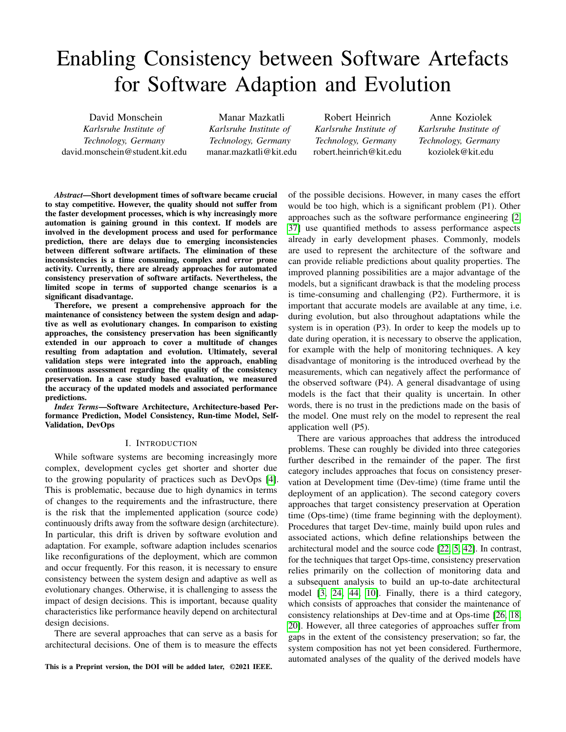# Enabling Consistency between Software Artefacts for Software Adaption and Evolution

David Monschein *Karlsruhe Institute of Technology, Germany* david.monschein@student.kit.edu

Manar Mazkatli *Karlsruhe Institute of Technology, Germany* manar.mazkatli@kit.edu

Robert Heinrich *Karlsruhe Institute of Technology, Germany* robert.heinrich@kit.edu

Anne Koziolek *Karlsruhe Institute of Technology, Germany* koziolek@kit.edu

*Abstract*—Short development times of software became crucial to stay competitive. However, the quality should not suffer from the faster development processes, which is why increasingly more automation is gaining ground in this context. If models are involved in the development process and used for performance prediction, there are delays due to emerging inconsistencies between different software artifacts. The elimination of these inconsistencies is a time consuming, complex and error prone activity. Currently, there are already approaches for automated consistency preservation of software artifacts. Nevertheless, the limited scope in terms of supported change scenarios is a significant disadvantage.

Therefore, we present a comprehensive approach for the maintenance of consistency between the system design and adaptive as well as evolutionary changes. In comparison to existing approaches, the consistency preservation has been significantly extended in our approach to cover a multitude of changes resulting from adaptation and evolution. Ultimately, several validation steps were integrated into the approach, enabling continuous assessment regarding the quality of the consistency preservation. In a case study based evaluation, we measured the accuracy of the updated models and associated performance predictions.

*Index Terms*—Software Architecture, Architecture-based Performance Prediction, Model Consistency, Run-time Model, Self-Validation, DevOps

## I. INTRODUCTION

While software systems are becoming increasingly more complex, development cycles get shorter and shorter due to the growing popularity of practices such as DevOps [\[4\]](#page-10-0). This is problematic, because due to high dynamics in terms of changes to the requirements and the infrastructure, there is the risk that the implemented application (source code) continuously drifts away from the software design (architecture). In particular, this drift is driven by software evolution and adaptation. For example, software adaption includes scenarios like reconfigurations of the deployment, which are common and occur frequently. For this reason, it is necessary to ensure consistency between the system design and adaptive as well as evolutionary changes. Otherwise, it is challenging to assess the impact of design decisions. This is important, because quality characteristics like performance heavily depend on architectural design decisions.

There are several approaches that can serve as a basis for architectural decisions. One of them is to measure the effects

This is a Preprint version, the DOI will be added later, ©2021 IEEE.

of the possible decisions. However, in many cases the effort would be too high, which is a significant problem (P1). Other approaches such as the software performance engineering [\[2,](#page-10-1) [37\]](#page-11-0) use quantified methods to assess performance aspects already in early development phases. Commonly, models are used to represent the architecture of the software and can provide reliable predictions about quality properties. The improved planning possibilities are a major advantage of the models, but a significant drawback is that the modeling process is time-consuming and challenging (P2). Furthermore, it is important that accurate models are available at any time, i.e. during evolution, but also throughout adaptations while the system is in operation (P3). In order to keep the models up to date during operation, it is necessary to observe the application, for example with the help of monitoring techniques. A key disadvantage of monitoring is the introduced overhead by the measurements, which can negatively affect the performance of the observed software (P4). A general disadvantage of using models is the fact that their quality is uncertain. In other words, there is no trust in the predictions made on the basis of the model. One must rely on the model to represent the real application well (P5).

There are various approaches that address the introduced problems. These can roughly be divided into three categories further described in the remainder of the paper. The first category includes approaches that focus on consistency preservation at Development time (Dev-time) (time frame until the deployment of an application). The second category covers approaches that target consistency preservation at Operation time (Ops-time) (time frame beginning with the deployment). Procedures that target Dev-time, mainly build upon rules and associated actions, which define relationships between the architectural model and the source code [\[22,](#page-10-2) [5,](#page-10-3) [42\]](#page-11-1). In contrast, for the techniques that target Ops-time, consistency preservation relies primarily on the collection of monitoring data and a subsequent analysis to build an up-to-date architectural model [\[3,](#page-10-4) [24,](#page-10-5) [44,](#page-11-2) [10\]](#page-10-6). Finally, there is a third category, which consists of approaches that consider the maintenance of consistency relationships at Dev-time and at Ops-time [\[26,](#page-11-3) [18,](#page-10-7) [20\]](#page-10-8). However, all three categories of approaches suffer from gaps in the extent of the consistency preservation; so far, the system composition has not yet been considered. Furthermore, automated analyses of the quality of the derived models have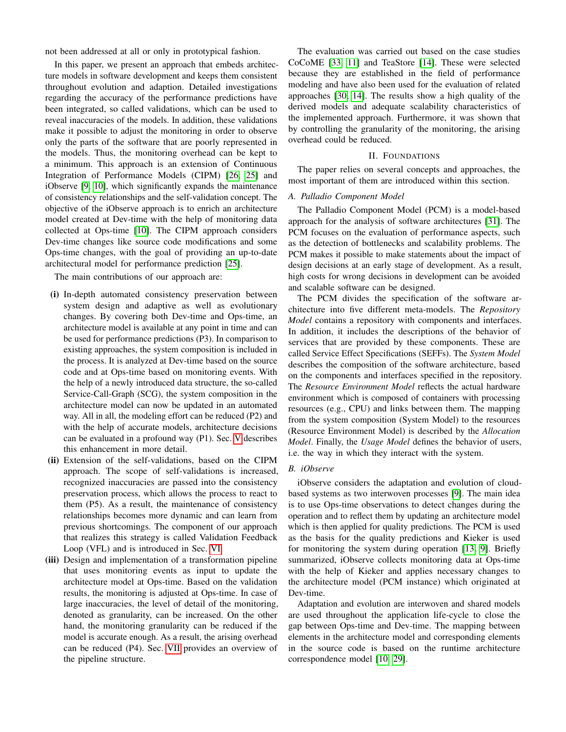not been addressed at all or only in prototypical fashion.

In this paper, we present an approach that embeds architecture models in software development and keeps them consistent throughout evolution and adaption. Detailed investigations regarding the accuracy of the performance predictions have been integrated, so called validations, which can be used to reveal inaccuracies of the models. In addition, these validations make it possible to adjust the monitoring in order to observe only the parts of the software that are poorly represented in the models. Thus, the monitoring overhead can be kept to a minimum. This approach is an extension of Continuous Integration of Performance Models (CIPM) [\[26,](#page-11-3) [25\]](#page-10-9) and iObserve [\[9,](#page-10-10) [10\]](#page-10-6), which significantly expands the maintenance of consistency relationships and the self-validation concept. The objective of the iObserve approach is to enrich an architecture model created at Dev-time with the help of monitoring data collected at Ops-time [\[10\]](#page-10-6). The CIPM approach considers Dev-time changes like source code modifications and some Ops-time changes, with the goal of providing an up-to-date architectural model for performance prediction [\[25\]](#page-10-9).

The main contributions of our approach are:

- (i) In-depth automated consistency preservation between system design and adaptive as well as evolutionary changes. By covering both Dev-time and Ops-time, an architecture model is available at any point in time and can be used for performance predictions (P3). In comparison to existing approaches, the system composition is included in the process. It is analyzed at Dev-time based on the source code and at Ops-time based on monitoring events. With the help of a newly introduced data structure, the so-called Service-Call-Graph (SCG), the system composition in the architecture model can now be updated in an automated way. All in all, the modeling effort can be reduced (P2) and with the help of accurate models, architecture decisions can be evaluated in a profound way (P1). Sec. [V](#page-3-0) describes this enhancement in more detail.
- (ii) Extension of the self-validations, based on the CIPM approach. The scope of self-validations is increased, recognized inaccuracies are passed into the consistency preservation process, which allows the process to react to them (P5). As a result, the maintenance of consistency relationships becomes more dynamic and can learn from previous shortcomings. The component of our approach that realizes this strategy is called Validation Feedback Loop (VFL) and is introduced in Sec. [VI.](#page-4-0)
- (iii) Design and implementation of a transformation pipeline that uses monitoring events as input to update the architecture model at Ops-time. Based on the validation results, the monitoring is adjusted at Ops-time. In case of large inaccuracies, the level of detail of the monitoring, denoted as granularity, can be increased. On the other hand, the monitoring granularity can be reduced if the model is accurate enough. As a result, the arising overhead can be reduced (P4). Sec. [VII](#page-4-1) provides an overview of the pipeline structure.

The evaluation was carried out based on the case studies CoCoME [\[33,](#page-11-4) [11\]](#page-10-11) and TeaStore [\[14\]](#page-10-12). These were selected because they are established in the field of performance modeling and have also been used for the evaluation of related approaches [\[30,](#page-11-5) [14\]](#page-10-12). The results show a high quality of the derived models and adequate scalability characteristics of the implemented approach. Furthermore, it was shown that by controlling the granularity of the monitoring, the arising overhead could be reduced.

## II. FOUNDATIONS

The paper relies on several concepts and approaches, the most important of them are introduced within this section.

## *A. Palladio Component Model*

The Palladio Component Model (PCM) is a model-based approach for the analysis of software architectures [\[31\]](#page-11-6). The PCM focuses on the evaluation of performance aspects, such as the detection of bottlenecks and scalability problems. The PCM makes it possible to make statements about the impact of design decisions at an early stage of development. As a result, high costs for wrong decisions in development can be avoided and scalable software can be designed.

The PCM divides the specification of the software architecture into five different meta-models. The *Repository Model* contains a repository with components and interfaces. In addition, it includes the descriptions of the behavior of services that are provided by these components. These are called Service Effect Specifications (SEFFs). The *System Model* describes the composition of the software architecture, based on the components and interfaces specified in the repository. The *Resource Environment Model* reflects the actual hardware environment which is composed of containers with processing resources (e.g., CPU) and links between them. The mapping from the system composition (System Model) to the resources (Resource Environment Model) is described by the *Allocation Model*. Finally, the *Usage Model* defines the behavior of users, i.e. the way in which they interact with the system.

# *B. iObserve*

iObserve considers the adaptation and evolution of cloudbased systems as two interwoven processes [\[9\]](#page-10-10). The main idea is to use Ops-time observations to detect changes during the operation and to reflect them by updating an architecture model which is then applied for quality predictions. The PCM is used as the basis for the quality predictions and Kieker is used for monitoring the system during operation [\[13,](#page-10-13) [9\]](#page-10-10). Briefly summarized, iObserve collects monitoring data at Ops-time with the help of Kieker and applies necessary changes to the architecture model (PCM instance) which originated at Dev-time.

Adaptation and evolution are interwoven and shared models are used throughout the application life-cycle to close the gap between Ops-time and Dev-time. The mapping between elements in the architecture model and corresponding elements in the source code is based on the runtime architecture correspondence model [\[10,](#page-10-6) [29\]](#page-11-7).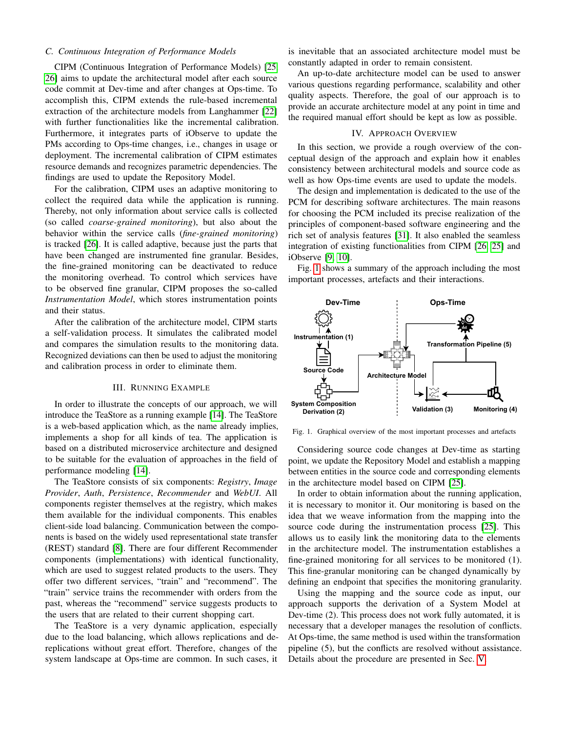# *C. Continuous Integration of Performance Models*

CIPM (Continuous Integration of Performance Models) [\[25,](#page-10-9) [26\]](#page-11-3) aims to update the architectural model after each source code commit at Dev-time and after changes at Ops-time. To accomplish this, CIPM extends the rule-based incremental extraction of the architecture models from Langhammer [\[22\]](#page-10-2) with further functionalities like the incremental calibration. Furthermore, it integrates parts of iObserve to update the PMs according to Ops-time changes, i.e., changes in usage or deployment. The incremental calibration of CIPM estimates resource demands and recognizes parametric dependencies. The findings are used to update the Repository Model.

For the calibration, CIPM uses an adaptive monitoring to collect the required data while the application is running. Thereby, not only information about service calls is collected (so called *coarse-grained monitoring*), but also about the behavior within the service calls (*fine-grained monitoring*) is tracked [\[26\]](#page-11-3). It is called adaptive, because just the parts that have been changed are instrumented fine granular. Besides, the fine-grained monitoring can be deactivated to reduce the monitoring overhead. To control which services have to be observed fine granular, CIPM proposes the so-called *Instrumentation Model*, which stores instrumentation points and their status.

After the calibration of the architecture model, CIPM starts a self-validation process. It simulates the calibrated model and compares the simulation results to the monitoring data. Recognized deviations can then be used to adjust the monitoring and calibration process in order to eliminate them.

# III. RUNNING EXAMPLE

<span id="page-2-1"></span>In order to illustrate the concepts of our approach, we will introduce the TeaStore as a running example [\[14\]](#page-10-12). The TeaStore is a web-based application which, as the name already implies, implements a shop for all kinds of tea. The application is based on a distributed microservice architecture and designed to be suitable for the evaluation of approaches in the field of performance modeling [\[14\]](#page-10-12).

The TeaStore consists of six components: *Registry*, *Image Provider*, *Auth*, *Persistence*, *Recommender* and *WebUI*. All components register themselves at the registry, which makes them available for the individual components. This enables client-side load balancing. Communication between the components is based on the widely used representational state transfer (REST) standard [\[8\]](#page-10-14). There are four different Recommender components (implementations) with identical functionality, which are used to suggest related products to the users. They offer two different services, "train" and "recommend". The "train" service trains the recommender with orders from the past, whereas the "recommend" service suggests products to the users that are related to their current shopping cart.

The TeaStore is a very dynamic application, especially due to the load balancing, which allows replications and dereplications without great effort. Therefore, changes of the system landscape at Ops-time are common. In such cases, it

is inevitable that an associated architecture model must be constantly adapted in order to remain consistent.

An up-to-date architecture model can be used to answer various questions regarding performance, scalability and other quality aspects. Therefore, the goal of our approach is to provide an accurate architecture model at any point in time and the required manual effort should be kept as low as possible.

## IV. APPROACH OVERVIEW

In this section, we provide a rough overview of the conceptual design of the approach and explain how it enables consistency between architectural models and source code as well as how Ops-time events are used to update the models.

The design and implementation is dedicated to the use of the PCM for describing software architectures. The main reasons for choosing the PCM included its precise realization of the principles of component-based software engineering and the rich set of analysis features [\[31\]](#page-11-6). It also enabled the seamless integration of existing functionalities from CIPM [\[26,](#page-11-3) [25\]](#page-10-9) and iObserve [\[9,](#page-10-10) [10\]](#page-10-6).

Fig. [1](#page-2-0) shows a summary of the approach including the most important processes, artefacts and their interactions.



<span id="page-2-0"></span>Fig. 1. Graphical overview of the most important processes and artefacts

Considering source code changes at Dev-time as starting point, we update the Repository Model and establish a mapping between entities in the source code and corresponding elements in the architecture model based on CIPM [\[25\]](#page-10-9).

In order to obtain information about the running application, it is necessary to monitor it. Our monitoring is based on the idea that we weave information from the mapping into the source code during the instrumentation process [\[25\]](#page-10-9). This allows us to easily link the monitoring data to the elements in the architecture model. The instrumentation establishes a fine-grained monitoring for all services to be monitored (1). This fine-granular monitoring can be changed dynamically by defining an endpoint that specifies the monitoring granularity.

Using the mapping and the source code as input, our approach supports the derivation of a System Model at Dev-time (2). This process does not work fully automated, it is necessary that a developer manages the resolution of conflicts. At Ops-time, the same method is used within the transformation pipeline (5), but the conflicts are resolved without assistance. Details about the procedure are presented in Sec. [V.](#page-3-0)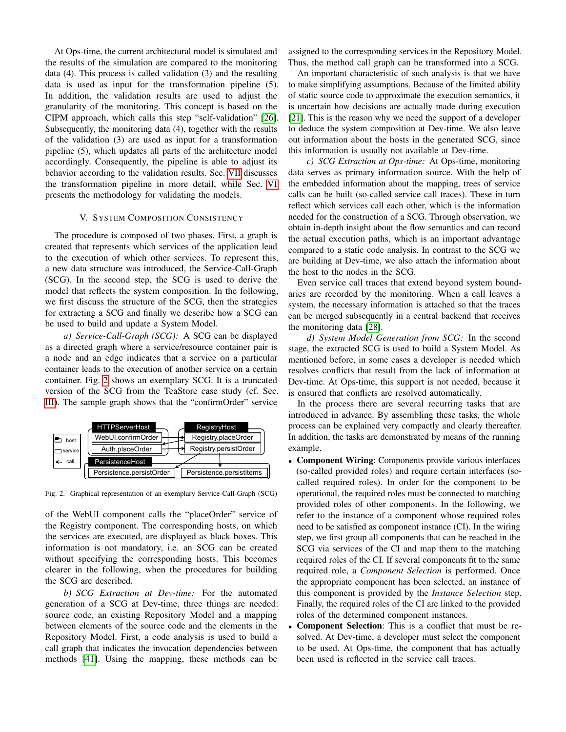At Ops-time, the current architectural model is simulated and the results of the simulation are compared to the monitoring data (4). This process is called validation (3) and the resulting data is used as input for the transformation pipeline (5). In addition, the validation results are used to adjust the granularity of the monitoring. This concept is based on the CIPM approach, which calls this step "self-validation" [\[26\]](#page-11-3). Subsequently, the monitoring data (4), together with the results of the validation (3) are used as input for a transformation pipeline (5), which updates all parts of the architecture model accordingly. Consequently, the pipeline is able to adjust its behavior according to the validation results. Sec. [VII](#page-4-1) discusses the transformation pipeline in more detail, while Sec. [VI](#page-4-0) presents the methodology for validating the models.

## V. SYSTEM COMPOSITION CONSISTENCY

<span id="page-3-0"></span>The procedure is composed of two phases. First, a graph is created that represents which services of the application lead to the execution of which other services. To represent this, a new data structure was introduced, the Service-Call-Graph (SCG). In the second step, the SCG is used to derive the model that reflects the system composition. In the following, we first discuss the structure of the SCG, then the strategies for extracting a SCG and finally we describe how a SCG can be used to build and update a System Model.

*a) Service-Call-Graph (SCG):* A SCG can be displayed as a directed graph where a service/resource container pair is a node and an edge indicates that a service on a particular container leads to the execution of another service on a certain container. Fig. [2](#page-3-1) shows an exemplary SCG. It is a truncated version of the SCG from the TeaStore case study (cf. Sec. [III\)](#page-2-1). The sample graph shows that the "confirmOrder" service



<span id="page-3-1"></span>Fig. 2. Graphical representation of an exemplary Service-Call-Graph (SCG)

of the WebUI component calls the "placeOrder" service of the Registry component. The corresponding hosts, on which the services are executed, are displayed as black boxes. This information is not mandatory, i.e. an SCG can be created without specifying the corresponding hosts. This becomes clearer in the following, when the procedures for building the SCG are described.

*b) SCG Extraction at Dev-time:* For the automated generation of a SCG at Dev-time, three things are needed: source code, an existing Repository Model and a mapping between elements of the source code and the elements in the Repository Model. First, a code analysis is used to build a call graph that indicates the invocation dependencies between methods [\[41\]](#page-11-8). Using the mapping, these methods can be

assigned to the corresponding services in the Repository Model. Thus, the method call graph can be transformed into a SCG.

An important characteristic of such analysis is that we have to make simplifying assumptions. Because of the limited ability of static source code to approximate the execution semantics, it is uncertain how decisions are actually made during execution [\[21\]](#page-10-15). This is the reason why we need the support of a developer to deduce the system composition at Dev-time. We also leave out information about the hosts in the generated SCG, since this information is usually not available at Dev-time.

*c) SCG Extraction at Ops-time:* At Ops-time, monitoring data serves as primary information source. With the help of the embedded information about the mapping, trees of service calls can be built (so-called service call traces). These in turn reflect which services call each other, which is the information needed for the construction of a SCG. Through observation, we obtain in-depth insight about the flow semantics and can record the actual execution paths, which is an important advantage compared to a static code analysis. In contrast to the SCG we are building at Dev-time, we also attach the information about the host to the nodes in the SCG.

Even service call traces that extend beyond system boundaries are recorded by the monitoring. When a call leaves a system, the necessary information is attached so that the traces can be merged subsequently in a central backend that receives the monitoring data [\[28\]](#page-11-9).

*d) System Model Generation from SCG:* In the second stage, the extracted SCG is used to build a System Model. As mentioned before, in some cases a developer is needed which resolves conflicts that result from the lack of information at Dev-time. At Ops-time, this support is not needed, because it is ensured that conflicts are resolved automatically.

In the process there are several recurring tasks that are introduced in advance. By assembling these tasks, the whole process can be explained very compactly and clearly thereafter. In addition, the tasks are demonstrated by means of the running example.

- Component Wiring: Components provide various interfaces (so-called provided roles) and require certain interfaces (socalled required roles). In order for the component to be operational, the required roles must be connected to matching provided roles of other components. In the following, we refer to the instance of a component whose required roles need to be satisfied as component instance (CI). In the wiring step, we first group all components that can be reached in the SCG via services of the CI and map them to the matching required roles of the CI. If several components fit to the same required role, a *Component Selection* is performed. Once the appropriate component has been selected, an instance of this component is provided by the *Instance Selection* step. Finally, the required roles of the CI are linked to the provided roles of the determined component instances.
- Component Selection: This is a conflict that must be resolved. At Dev-time, a developer must select the component to be used. At Ops-time, the component that has actually been used is reflected in the service call traces.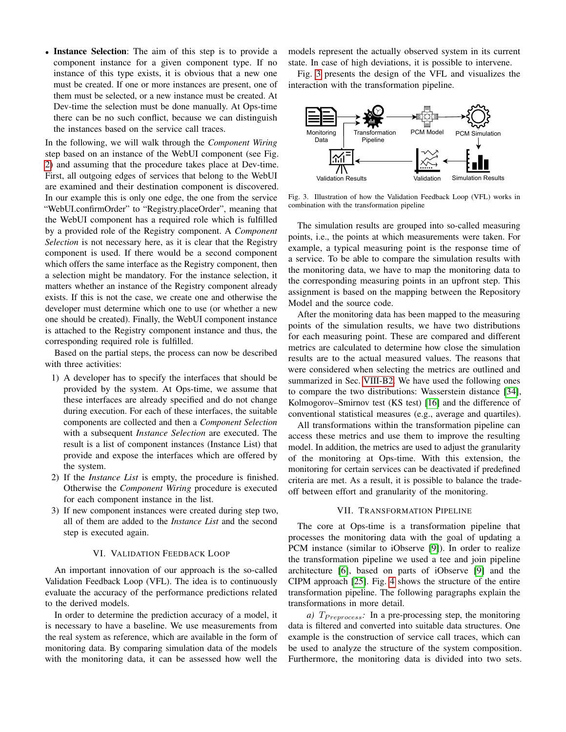• Instance Selection: The aim of this step is to provide a component instance for a given component type. If no instance of this type exists, it is obvious that a new one must be created. If one or more instances are present, one of them must be selected, or a new instance must be created. At Dev-time the selection must be done manually. At Ops-time there can be no such conflict, because we can distinguish the instances based on the service call traces.

In the following, we will walk through the *Component Wiring* step based on an instance of the WebUI component (see Fig. [2\)](#page-3-1) and assuming that the procedure takes place at Dev-time. First, all outgoing edges of services that belong to the WebUI are examined and their destination component is discovered. In our example this is only one edge, the one from the service "WebUI.confirmOrder" to "Registry.placeOrder", meaning that the WebUI component has a required role which is fulfilled by a provided role of the Registry component. A *Component Selection* is not necessary here, as it is clear that the Registry component is used. If there would be a second component which offers the same interface as the Registry component, then a selection might be mandatory. For the instance selection, it matters whether an instance of the Registry component already exists. If this is not the case, we create one and otherwise the developer must determine which one to use (or whether a new one should be created). Finally, the WebUI component instance is attached to the Registry component instance and thus, the corresponding required role is fulfilled.

Based on the partial steps, the process can now be described with three activities:

- 1) A developer has to specify the interfaces that should be provided by the system. At Ops-time, we assume that these interfaces are already specified and do not change during execution. For each of these interfaces, the suitable components are collected and then a *Component Selection* with a subsequent *Instance Selection* are executed. The result is a list of component instances (Instance List) that provide and expose the interfaces which are offered by the system.
- 2) If the *Instance List* is empty, the procedure is finished. Otherwise the *Component Wiring* procedure is executed for each component instance in the list.
- 3) If new component instances were created during step two, all of them are added to the *Instance List* and the second step is executed again.

## VI. VALIDATION FEEDBACK LOOP

<span id="page-4-0"></span>An important innovation of our approach is the so-called Validation Feedback Loop (VFL). The idea is to continuously evaluate the accuracy of the performance predictions related to the derived models.

In order to determine the prediction accuracy of a model, it is necessary to have a baseline. We use measurements from the real system as reference, which are available in the form of monitoring data. By comparing simulation data of the models with the monitoring data, it can be assessed how well the

models represent the actually observed system in its current state. In case of high deviations, it is possible to intervene.

Fig. [3](#page-4-2) presents the design of the VFL and visualizes the interaction with the transformation pipeline.



<span id="page-4-2"></span>Fig. 3. Illustration of how the Validation Feedback Loop (VFL) works in combination with the transformation pipeline

The simulation results are grouped into so-called measuring points, i.e., the points at which measurements were taken. For example, a typical measuring point is the response time of a service. To be able to compare the simulation results with the monitoring data, we have to map the monitoring data to the corresponding measuring points in an upfront step. This assignment is based on the mapping between the Repository Model and the source code.

After the monitoring data has been mapped to the measuring points of the simulation results, we have two distributions for each measuring point. These are compared and different metrics are calculated to determine how close the simulation results are to the actual measured values. The reasons that were considered when selecting the metrics are outlined and summarized in Sec. [VIII-B2.](#page-6-0) We have used the following ones to compare the two distributions: Wasserstein distance [\[34\]](#page-11-10), Kolmogorov–Smirnov test (KS test) [\[16\]](#page-10-16) and the difference of conventional statistical measures (e.g., average and quartiles).

All transformations within the transformation pipeline can access these metrics and use them to improve the resulting model. In addition, the metrics are used to adjust the granularity of the monitoring at Ops-time. With this extension, the monitoring for certain services can be deactivated if predefined criteria are met. As a result, it is possible to balance the tradeoff between effort and granularity of the monitoring.

## VII. TRANSFORMATION PIPELINE

<span id="page-4-1"></span>The core at Ops-time is a transformation pipeline that processes the monitoring data with the goal of updating a PCM instance (similar to iObserve [\[9\]](#page-10-10)). In order to realize the transformation pipeline we used a tee and join pipeline architecture [\[6\]](#page-10-17), based on parts of iObserve [\[9\]](#page-10-10) and the CIPM approach [\[25\]](#page-10-9). Fig. [4](#page-5-0) shows the structure of the entire transformation pipeline. The following paragraphs explain the transformations in more detail.

*a)*  $T_{Preprocess}$ : In a pre-processing step, the monitoring data is filtered and converted into suitable data structures. One example is the construction of service call traces, which can be used to analyze the structure of the system composition. Furthermore, the monitoring data is divided into two sets.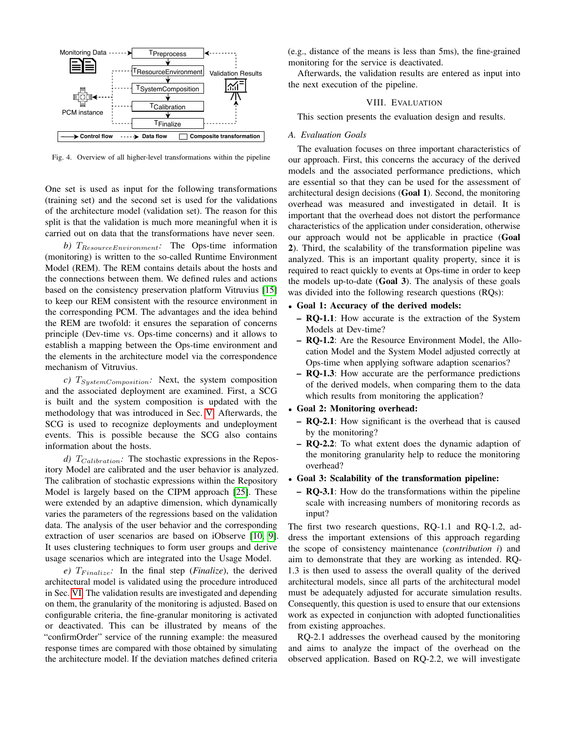

<span id="page-5-0"></span>Fig. 4. Overview of all higher-level transformations within the pipeline

One set is used as input for the following transformations (training set) and the second set is used for the validations of the architecture model (validation set). The reason for this split is that the validation is much more meaningful when it is carried out on data that the transformations have never seen.

*b)*  $T_{ResourceEnvironment}$ : The Ops-time information (monitoring) is written to the so-called Runtime Environment Model (REM). The REM contains details about the hosts and the connections between them. We defined rules and actions based on the consistency preservation platform Vitruvius [\[15\]](#page-10-18) to keep our REM consistent with the resource environment in the corresponding PCM. The advantages and the idea behind the REM are twofold: it ensures the separation of concerns principle (Dev-time vs. Ops-time concerns) and it allows to establish a mapping between the Ops-time environment and the elements in the architecture model via the correspondence mechanism of Vitruvius.

 $c)$   $T_{SystemComposition}$ : Next, the system composition and the associated deployment are examined. First, a SCG is built and the system composition is updated with the methodology that was introduced in Sec. [V.](#page-3-0) Afterwards, the SCG is used to recognize deployments and undeployment events. This is possible because the SCG also contains information about the hosts.

 $d)$   $T_{Calibration}$ : The stochastic expressions in the Repository Model are calibrated and the user behavior is analyzed. The calibration of stochastic expressions within the Repository Model is largely based on the CIPM approach [\[25\]](#page-10-9). These were extended by an adaptive dimension, which dynamically varies the parameters of the regressions based on the validation data. The analysis of the user behavior and the corresponding extraction of user scenarios are based on iObserve [\[10,](#page-10-6) [9\]](#page-10-10). It uses clustering techniques to form user groups and derive usage scenarios which are integrated into the Usage Model.

 $e)$   $T_{Finalize}$ : In the final step (*Finalize*), the derived architectural model is validated using the procedure introduced in Sec. [VI.](#page-4-0) The validation results are investigated and depending on them, the granularity of the monitoring is adjusted. Based on configurable criteria, the fine-granular monitoring is activated or deactivated. This can be illustrated by means of the "confirmOrder" service of the running example: the measured response times are compared with those obtained by simulating the architecture model. If the deviation matches defined criteria (e.g., distance of the means is less than 5ms), the fine-grained monitoring for the service is deactivated.

Afterwards, the validation results are entered as input into the next execution of the pipeline.

# VIII. EVALUATION

This section presents the evaluation design and results.

## *A. Evaluation Goals*

The evaluation focuses on three important characteristics of our approach. First, this concerns the accuracy of the derived models and the associated performance predictions, which are essential so that they can be used for the assessment of architectural design decisions (Goal 1). Second, the monitoring overhead was measured and investigated in detail. It is important that the overhead does not distort the performance characteristics of the application under consideration, otherwise our approach would not be applicable in practice (Goal 2). Third, the scalability of the transformation pipeline was analyzed. This is an important quality property, since it is required to react quickly to events at Ops-time in order to keep the models up-to-date (Goal 3). The analysis of these goals was divided into the following research questions (RQs):

# • Goal 1: Accuracy of the derived models:

- RQ-1.1: How accurate is the extraction of the System Models at Dev-time?
- RQ-1.2: Are the Resource Environment Model, the Allocation Model and the System Model adjusted correctly at Ops-time when applying software adaption scenarios?
- RQ-1.3: How accurate are the performance predictions of the derived models, when comparing them to the data which results from monitoring the application?

# • Goal 2: Monitoring overhead:

- RQ-2.1: How significant is the overhead that is caused by the monitoring?
- RQ-2.2: To what extent does the dynamic adaption of the monitoring granularity help to reduce the monitoring overhead?

# • Goal 3: Scalability of the transformation pipeline:

– RQ-3.1: How do the transformations within the pipeline scale with increasing numbers of monitoring records as input?

The first two research questions, RQ-1.1 and RQ-1.2, address the important extensions of this approach regarding the scope of consistency maintenance (*contribution i*) and aim to demonstrate that they are working as intended. RQ-1.3 is then used to assess the overall quality of the derived architectural models, since all parts of the architectural model must be adequately adjusted for accurate simulation results. Consequently, this question is used to ensure that our extensions work as expected in conjunction with adopted functionalities from existing approaches.

RQ-2.1 addresses the overhead caused by the monitoring and aims to analyze the impact of the overhead on the observed application. Based on RQ-2.2, we will investigate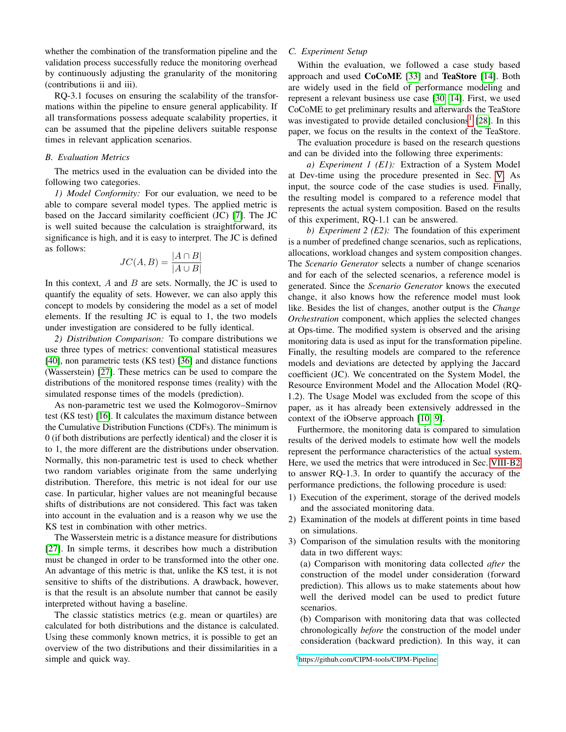whether the combination of the transformation pipeline and the validation process successfully reduce the monitoring overhead by continuously adjusting the granularity of the monitoring (contributions ii and iii).

RQ-3.1 focuses on ensuring the scalability of the transformations within the pipeline to ensure general applicability. If all transformations possess adequate scalability properties, it can be assumed that the pipeline delivers suitable response times in relevant application scenarios.

## *B. Evaluation Metrics*

The metrics used in the evaluation can be divided into the following two categories.

*1) Model Conformity:* For our evaluation, we need to be able to compare several model types. The applied metric is based on the Jaccard similarity coefficient (JC) [\[7\]](#page-10-19). The JC is well suited because the calculation is straightforward, its significance is high, and it is easy to interpret. The JC is defined as follows:

$$
JC(A, B) = \frac{|A \cap B|}{|A \cup B|}
$$

In this context,  $A$  and  $B$  are sets. Normally, the JC is used to quantify the equality of sets. However, we can also apply this concept to models by considering the model as a set of model elements. If the resulting JC is equal to 1, the two models under investigation are considered to be fully identical.

<span id="page-6-0"></span>*2) Distribution Comparison:* To compare distributions we use three types of metrics: conventional statistical measures [\[40\]](#page-11-11), non parametric tests (KS test) [\[36\]](#page-11-12) and distance functions (Wasserstein) [\[27\]](#page-11-13). These metrics can be used to compare the distributions of the monitored response times (reality) with the simulated response times of the models (prediction).

As non-parametric test we used the Kolmogorov–Smirnov test (KS test) [\[16\]](#page-10-16). It calculates the maximum distance between the Cumulative Distribution Functions (CDFs). The minimum is 0 (if both distributions are perfectly identical) and the closer it is to 1, the more different are the distributions under observation. Normally, this non-parametric test is used to check whether two random variables originate from the same underlying distribution. Therefore, this metric is not ideal for our use case. In particular, higher values are not meaningful because shifts of distributions are not considered. This fact was taken into account in the evaluation and is a reason why we use the KS test in combination with other metrics.

The Wasserstein metric is a distance measure for distributions [\[27\]](#page-11-13). In simple terms, it describes how much a distribution must be changed in order to be transformed into the other one. An advantage of this metric is that, unlike the KS test, it is not sensitive to shifts of the distributions. A drawback, however, is that the result is an absolute number that cannot be easily interpreted without having a baseline.

The classic statistics metrics (e.g. mean or quartiles) are calculated for both distributions and the distance is calculated. Using these commonly known metrics, it is possible to get an overview of the two distributions and their dissimilarities in a simple and quick way.

# <span id="page-6-2"></span>*C. Experiment Setup*

Within the evaluation, we followed a case study based approach and used CoCoME [\[33\]](#page-11-4) and TeaStore [\[14\]](#page-10-12). Both are widely used in the field of performance modeling and represent a relevant business use case [\[30,](#page-11-5) [14\]](#page-10-12). First, we used CoCoME to get preliminary results and afterwards the TeaStore was investigated to provide detailed conclusions<sup>[1](#page-6-1)</sup> [\[28\]](#page-11-9). In this paper, we focus on the results in the context of the TeaStore.

The evaluation procedure is based on the research questions and can be divided into the following three experiments:

*a) Experiment 1 (E1):* Extraction of a System Model at Dev-time using the procedure presented in Sec. [V.](#page-3-0) As input, the source code of the case studies is used. Finally, the resulting model is compared to a reference model that represents the actual system composition. Based on the results of this experiment, RQ-1.1 can be answered.

*b) Experiment 2 (E2):* The foundation of this experiment is a number of predefined change scenarios, such as replications, allocations, workload changes and system composition changes. The *Scenario Generator* selects a number of change scenarios and for each of the selected scenarios, a reference model is generated. Since the *Scenario Generator* knows the executed change, it also knows how the reference model must look like. Besides the list of changes, another output is the *Change Orchestration* component, which applies the selected changes at Ops-time. The modified system is observed and the arising monitoring data is used as input for the transformation pipeline. Finally, the resulting models are compared to the reference models and deviations are detected by applying the Jaccard coefficient (JC). We concentrated on the System Model, the Resource Environment Model and the Allocation Model (RQ-1.2). The Usage Model was excluded from the scope of this paper, as it has already been extensively addressed in the context of the iObserve approach [\[10,](#page-10-6) [9\]](#page-10-10).

Furthermore, the monitoring data is compared to simulation results of the derived models to estimate how well the models represent the performance characteristics of the actual system. Here, we used the metrics that were introduced in Sec. [VIII-B2](#page-6-0) to answer RQ-1.3. In order to quantify the accuracy of the performance predictions, the following procedure is used:

- 1) Execution of the experiment, storage of the derived models and the associated monitoring data.
- 2) Examination of the models at different points in time based on simulations.
- 3) Comparison of the simulation results with the monitoring data in two different ways:

(a) Comparison with monitoring data collected *after* the construction of the model under consideration (forward prediction). This allows us to make statements about how well the derived model can be used to predict future scenarios.

(b) Comparison with monitoring data that was collected chronologically *before* the construction of the model under consideration (backward prediction). In this way, it can

<span id="page-6-1"></span><sup>1</sup><https://github.com/CIPM-tools/CIPM-Pipeline>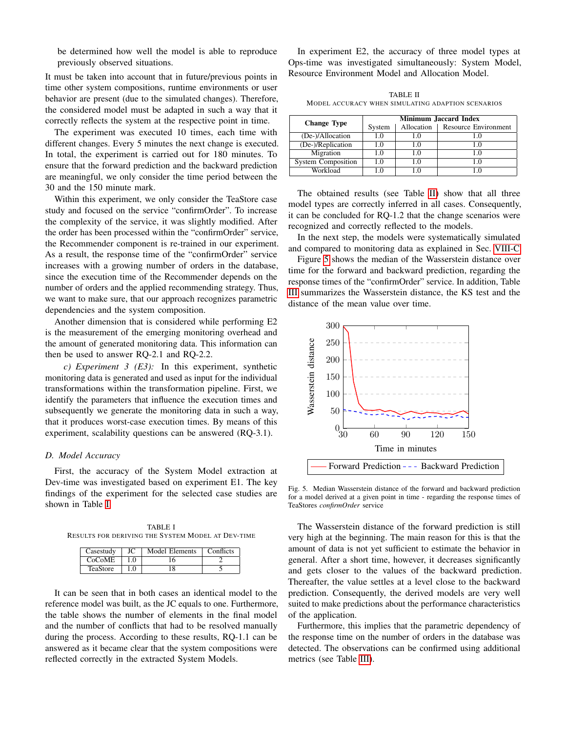be determined how well the model is able to reproduce previously observed situations.

It must be taken into account that in future/previous points in time other system compositions, runtime environments or user behavior are present (due to the simulated changes). Therefore, the considered model must be adapted in such a way that it correctly reflects the system at the respective point in time.

The experiment was executed 10 times, each time with different changes. Every 5 minutes the next change is executed. In total, the experiment is carried out for 180 minutes. To ensure that the forward prediction and the backward prediction are meaningful, we only consider the time period between the 30 and the 150 minute mark.

Within this experiment, we only consider the TeaStore case study and focused on the service "confirmOrder". To increase the complexity of the service, it was slightly modified. After the order has been processed within the "confirmOrder" service, the Recommender component is re-trained in our experiment. As a result, the response time of the "confirmOrder" service increases with a growing number of orders in the database, since the execution time of the Recommender depends on the number of orders and the applied recommending strategy. Thus, we want to make sure, that our approach recognizes parametric dependencies and the system composition.

Another dimension that is considered while performing E2 is the measurement of the emerging monitoring overhead and the amount of generated monitoring data. This information can then be used to answer RQ-2.1 and RQ-2.2.

*c) Experiment 3 (E3):* In this experiment, synthetic monitoring data is generated and used as input for the individual transformations within the transformation pipeline. First, we identify the parameters that influence the execution times and subsequently we generate the monitoring data in such a way, that it produces worst-case execution times. By means of this experiment, scalability questions can be answered (RQ-3.1).

## *D. Model Accuracy*

First, the accuracy of the System Model extraction at Dev-time was investigated based on experiment E1. The key findings of the experiment for the selected case studies are shown in Table [I.](#page-7-0)

<span id="page-7-0"></span>TABLE I RESULTS FOR DERIVING THE SYSTEM MODEL AT DEV-TIME

| Casestudy | JС       | Model Elements | Conflicts |
|-----------|----------|----------------|-----------|
| CoCoME    |          |                |           |
| TeaStore  | $\Omega$ |                |           |

It can be seen that in both cases an identical model to the reference model was built, as the JC equals to one. Furthermore, the table shows the number of elements in the final model and the number of conflicts that had to be resolved manually during the process. According to these results, RQ-1.1 can be answered as it became clear that the system compositions were reflected correctly in the extracted System Models.

In experiment E2, the accuracy of three model types at Ops-time was investigated simultaneously: System Model, Resource Environment Model and Allocation Model.

TABLE II MODEL ACCURACY WHEN SIMULATING ADAPTION SCENARIOS

<span id="page-7-1"></span>

| <b>Change Type</b>        | <b>Minimum Jaccard Index</b> |            |                      |  |  |  |
|---------------------------|------------------------------|------------|----------------------|--|--|--|
|                           | System                       | Allocation | Resource Environment |  |  |  |
| (De-)/Allocation          | .0                           | .0         |                      |  |  |  |
| (De-)/Replication         | - 0                          | LΘ.        |                      |  |  |  |
| Migration                 | .0                           | 1.0        |                      |  |  |  |
| <b>System Composition</b> | $\Box$                       | 1.0        | LΩ                   |  |  |  |
| Workload                  | $\Omega$                     | C          |                      |  |  |  |

The obtained results (see Table [II\)](#page-7-1) show that all three model types are correctly inferred in all cases. Consequently, it can be concluded for RQ-1.2 that the change scenarios were recognized and correctly reflected to the models.

In the next step, the models were systematically simulated and compared to monitoring data as explained in Sec. [VIII-C.](#page-6-2)

Figure [5](#page-7-2) shows the median of the Wasserstein distance over time for the forward and backward prediction, regarding the response times of the "confirmOrder" service. In addition, Table [III](#page-8-0) summarizes the Wasserstein distance, the KS test and the distance of the mean value over time.



<span id="page-7-2"></span>Fig. 5. Median Wasserstein distance of the forward and backward prediction for a model derived at a given point in time - regarding the response times of TeaStores *confirmOrder* service

The Wasserstein distance of the forward prediction is still very high at the beginning. The main reason for this is that the amount of data is not yet sufficient to estimate the behavior in general. After a short time, however, it decreases significantly and gets closer to the values of the backward prediction. Thereafter, the value settles at a level close to the backward prediction. Consequently, the derived models are very well suited to make predictions about the performance characteristics of the application.

Furthermore, this implies that the parametric dependency of the response time on the number of orders in the database was detected. The observations can be confirmed using additional metrics (see Table [III\)](#page-8-0).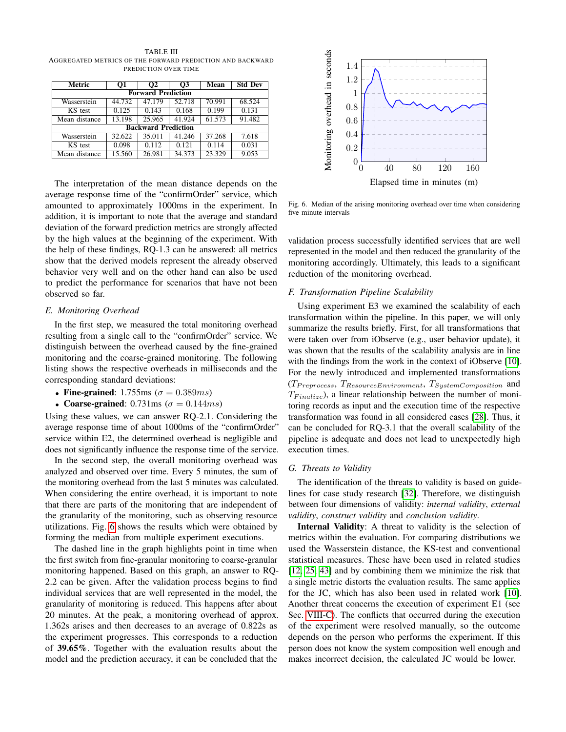<span id="page-8-0"></span>TABLE III AGGREGATED METRICS OF THE FORWARD PREDICTION AND BACKWARD PREDICTION OVER TIME

| Metric                     | O1     | Ο2     | O3     | Mean   | <b>Std Dev</b> |  |  |  |  |
|----------------------------|--------|--------|--------|--------|----------------|--|--|--|--|
| <b>Forward Prediction</b>  |        |        |        |        |                |  |  |  |  |
| Wasserstein                | 44.732 | 47.179 | 52.718 | 70.991 | 68.524         |  |  |  |  |
| KS test                    | 0.125  | 0.143  | 0.168  | 0.199  | 0.131          |  |  |  |  |
| Mean distance              | 13.198 | 25.965 | 41.924 | 61.573 | 91.482         |  |  |  |  |
| <b>Backward Prediction</b> |        |        |        |        |                |  |  |  |  |
| Wasserstein                | 32.622 | 35.011 | 41.246 | 37.268 | 7.618          |  |  |  |  |
| KS test                    | 0.098  | 0.112  | 0.121  | 0.114  | 0.031          |  |  |  |  |
| Mean distance              | 15.560 | 26.981 | 34.373 | 23.329 | 9.053          |  |  |  |  |

The interpretation of the mean distance depends on the average response time of the "confirmOrder" service, which amounted to approximately 1000ms in the experiment. In addition, it is important to note that the average and standard deviation of the forward prediction metrics are strongly affected by the high values at the beginning of the experiment. With the help of these findings, RQ-1.3 can be answered: all metrics show that the derived models represent the already observed behavior very well and on the other hand can also be used to predict the performance for scenarios that have not been observed so far.

#### *E. Monitoring Overhead*

In the first step, we measured the total monitoring overhead resulting from a single call to the "confirmOrder" service. We distinguish between the overhead caused by the fine-grained monitoring and the coarse-grained monitoring. The following listing shows the respective overheads in milliseconds and the corresponding standard deviations:

- Fine-grained: 1.755ms ( $\sigma = 0.389ms$ )
- Coarse-grained: 0.731ms ( $\sigma = 0.144ms$ )

Using these values, we can answer RQ-2.1. Considering the average response time of about 1000ms of the "confirmOrder" service within E2, the determined overhead is negligible and does not significantly influence the response time of the service.

In the second step, the overall monitoring overhead was analyzed and observed over time. Every 5 minutes, the sum of the monitoring overhead from the last 5 minutes was calculated. When considering the entire overhead, it is important to note that there are parts of the monitoring that are independent of the granularity of the monitoring, such as observing resource utilizations. Fig. [6](#page-8-1) shows the results which were obtained by forming the median from multiple experiment executions.

The dashed line in the graph highlights point in time when the first switch from fine-granular monitoring to coarse-granular monitoring happened. Based on this graph, an answer to RQ-2.2 can be given. After the validation process begins to find individual services that are well represented in the model, the granularity of monitoring is reduced. This happens after about 20 minutes. At the peak, a monitoring overhead of approx. 1.362s arises and then decreases to an average of 0.822s as the experiment progresses. This corresponds to a reduction of 39.65%. Together with the evaluation results about the model and the prediction accuracy, it can be concluded that the



<span id="page-8-1"></span>Fig. 6. Median of the arising monitoring overhead over time when considering five minute intervals

validation process successfully identified services that are well represented in the model and then reduced the granularity of the monitoring accordingly. Ultimately, this leads to a significant reduction of the monitoring overhead.

# *F. Transformation Pipeline Scalability*

Using experiment E3 we examined the scalability of each transformation within the pipeline. In this paper, we will only summarize the results briefly. First, for all transformations that were taken over from iObserve (e.g., user behavior update), it was shown that the results of the scalability analysis are in line with the findings from the work in the context of iObserve [\[10\]](#page-10-6). For the newly introduced and implemented transformations  $(T_{Preprocess}, T_{ResourceEnvironment}, T_{SystemComposition}$  and  $T_{Finalize}$ ), a linear relationship between the number of monitoring records as input and the execution time of the respective transformation was found in all considered cases [\[28\]](#page-11-9). Thus, it can be concluded for RQ-3.1 that the overall scalability of the pipeline is adequate and does not lead to unexpectedly high execution times.

#### *G. Threats to Validity*

The identification of the threats to validity is based on guidelines for case study research [\[32\]](#page-11-14). Therefore, we distinguish between four dimensions of validity: *internal validity*, *external validity*, *construct validity* and *conclusion validity*.

Internal Validity: A threat to validity is the selection of metrics within the evaluation. For comparing distributions we used the Wasserstein distance, the KS-test and conventional statistical measures. These have been used in related studies [\[12,](#page-10-20) [25,](#page-10-9) [43\]](#page-11-15) and by combining them we minimize the risk that a single metric distorts the evaluation results. The same applies for the JC, which has also been used in related work [\[10\]](#page-10-6). Another threat concerns the execution of experiment E1 (see Sec. [VIII-C\)](#page-6-2). The conflicts that occurred during the execution of the experiment were resolved manually, so the outcome depends on the person who performs the experiment. If this person does not know the system composition well enough and makes incorrect decision, the calculated JC would be lower.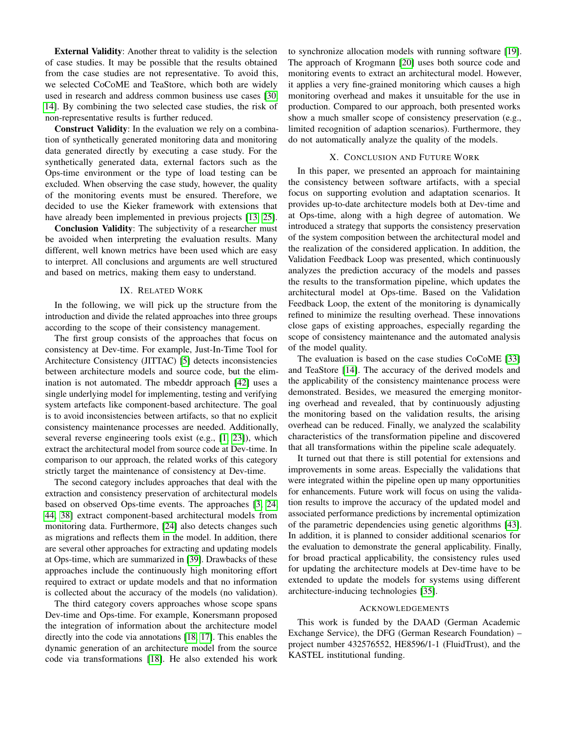External Validity: Another threat to validity is the selection of case studies. It may be possible that the results obtained from the case studies are not representative. To avoid this, we selected CoCoME and TeaStore, which both are widely used in research and address common business use cases [\[30,](#page-11-5) [14\]](#page-10-12). By combining the two selected case studies, the risk of non-representative results is further reduced.

Construct Validity: In the evaluation we rely on a combination of synthetically generated monitoring data and monitoring data generated directly by executing a case study. For the synthetically generated data, external factors such as the Ops-time environment or the type of load testing can be excluded. When observing the case study, however, the quality of the monitoring events must be ensured. Therefore, we decided to use the Kieker framework with extensions that have already been implemented in previous projects [\[13,](#page-10-13) [25\]](#page-10-9).

Conclusion Validity: The subjectivity of a researcher must be avoided when interpreting the evaluation results. Many different, well known metrics have been used which are easy to interpret. All conclusions and arguments are well structured and based on metrics, making them easy to understand.

# IX. RELATED WORK

In the following, we will pick up the structure from the introduction and divide the related approaches into three groups according to the scope of their consistency management.

The first group consists of the approaches that focus on consistency at Dev-time. For example, Just-In-Time Tool for Architecture Consistency (JITTAC) [\[5\]](#page-10-3) detects inconsistencies between architecture models and source code, but the elimination is not automated. The mbeddr approach [\[42\]](#page-11-1) uses a single underlying model for implementing, testing and verifying system artefacts like component-based architecture. The goal is to avoid inconsistencies between artifacts, so that no explicit consistency maintenance processes are needed. Additionally, several reverse engineering tools exist (e.g., [\[1,](#page-10-21) [23\]](#page-10-22)), which extract the architectural model from source code at Dev-time. In comparison to our approach, the related works of this category strictly target the maintenance of consistency at Dev-time.

The second category includes approaches that deal with the extraction and consistency preservation of architectural models based on observed Ops-time events. The approaches [\[3,](#page-10-4) [24,](#page-10-5) [44,](#page-11-2) [38\]](#page-11-16) extract component-based architectural models from monitoring data. Furthermore, [\[24\]](#page-10-5) also detects changes such as migrations and reflects them in the model. In addition, there are several other approaches for extracting and updating models at Ops-time, which are summarized in [\[39\]](#page-11-17). Drawbacks of these approaches include the continuously high monitoring effort required to extract or update models and that no information is collected about the accuracy of the models (no validation).

The third category covers approaches whose scope spans Dev-time and Ops-time. For example, Konersmann proposed the integration of information about the architecture model directly into the code via annotations [\[18,](#page-10-7) [17\]](#page-10-23). This enables the dynamic generation of an architecture model from the source code via transformations [\[18\]](#page-10-7). He also extended his work

to synchronize allocation models with running software [\[19\]](#page-10-24). The approach of Krogmann [\[20\]](#page-10-8) uses both source code and monitoring events to extract an architectural model. However, it applies a very fine-grained monitoring which causes a high monitoring overhead and makes it unsuitable for the use in production. Compared to our approach, both presented works show a much smaller scope of consistency preservation (e.g., limited recognition of adaption scenarios). Furthermore, they do not automatically analyze the quality of the models.

# X. CONCLUSION AND FUTURE WORK

In this paper, we presented an approach for maintaining the consistency between software artifacts, with a special focus on supporting evolution and adaptation scenarios. It provides up-to-date architecture models both at Dev-time and at Ops-time, along with a high degree of automation. We introduced a strategy that supports the consistency preservation of the system composition between the architectural model and the realization of the considered application. In addition, the Validation Feedback Loop was presented, which continuously analyzes the prediction accuracy of the models and passes the results to the transformation pipeline, which updates the architectural model at Ops-time. Based on the Validation Feedback Loop, the extent of the monitoring is dynamically refined to minimize the resulting overhead. These innovations close gaps of existing approaches, especially regarding the scope of consistency maintenance and the automated analysis of the model quality.

The evaluation is based on the case studies CoCoME [\[33\]](#page-11-4) and TeaStore [\[14\]](#page-10-12). The accuracy of the derived models and the applicability of the consistency maintenance process were demonstrated. Besides, we measured the emerging monitoring overhead and revealed, that by continuously adjusting the monitoring based on the validation results, the arising overhead can be reduced. Finally, we analyzed the scalability characteristics of the transformation pipeline and discovered that all transformations within the pipeline scale adequately.

It turned out that there is still potential for extensions and improvements in some areas. Especially the validations that were integrated within the pipeline open up many opportunities for enhancements. Future work will focus on using the validation results to improve the accuracy of the updated model and associated performance predictions by incremental optimization of the parametric dependencies using genetic algorithms [\[43\]](#page-11-15). In addition, it is planned to consider additional scenarios for the evaluation to demonstrate the general applicability. Finally, for broad practical applicability, the consistency rules used for updating the architecture models at Dev-time have to be extended to update the models for systems using different architecture-inducing technologies [\[35\]](#page-11-18).

## ACKNOWLEDGEMENTS

This work is funded by the DAAD (German Academic Exchange Service), the DFG (German Research Foundation) – project number 432576552, HE8596/1-1 (FluidTrust), and the KASTEL institutional funding.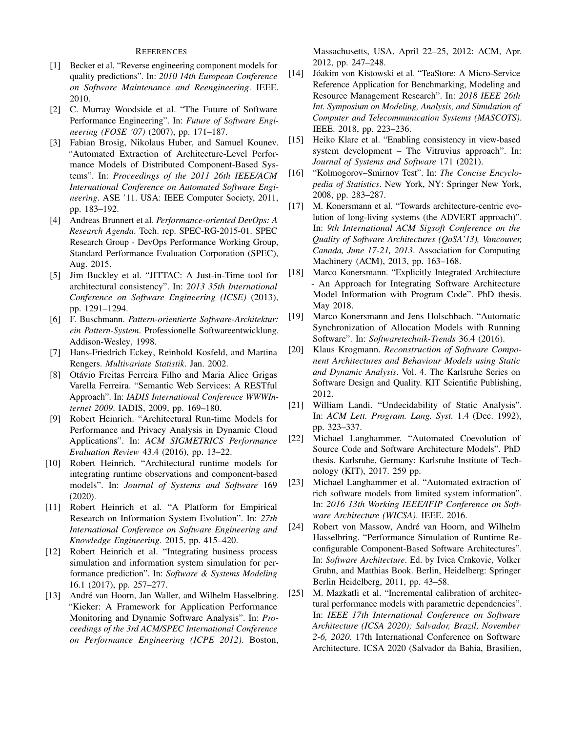# **REFERENCES**

- <span id="page-10-21"></span>[1] Becker et al. "Reverse engineering component models for quality predictions". In: *2010 14th European Conference on Software Maintenance and Reengineering*. IEEE. 2010.
- <span id="page-10-1"></span>[2] C. Murray Woodside et al. "The Future of Software Performance Engineering". In: *Future of Software Engineering (FOSE '07)* (2007), pp. 171–187.
- <span id="page-10-4"></span>[3] Fabian Brosig, Nikolaus Huber, and Samuel Kounev. "Automated Extraction of Architecture-Level Performance Models of Distributed Component-Based Systems". In: *Proceedings of the 2011 26th IEEE/ACM International Conference on Automated Software Engineering*. ASE '11. USA: IEEE Computer Society, 2011, pp. 183–192.
- <span id="page-10-0"></span>[4] Andreas Brunnert et al. *Performance-oriented DevOps: A Research Agenda*. Tech. rep. SPEC-RG-2015-01. SPEC Research Group - DevOps Performance Working Group, Standard Performance Evaluation Corporation (SPEC), Aug. 2015.
- <span id="page-10-3"></span>[5] Jim Buckley et al. "JITTAC: A Just-in-Time tool for architectural consistency". In: *2013 35th International Conference on Software Engineering (ICSE)* (2013), pp. 1291–1294.
- <span id="page-10-17"></span>[6] F. Buschmann. *Pattern-orientierte Software-Architektur: ein Pattern-System*. Professionelle Softwareentwicklung. Addison-Wesley, 1998.
- <span id="page-10-19"></span>[7] Hans-Friedrich Eckey, Reinhold Kosfeld, and Martina Rengers. *Multivariate Statistik*. Jan. 2002.
- <span id="page-10-14"></span>[8] Otávio Freitas Ferreira Filho and Maria Alice Grigas Varella Ferreira. "Semantic Web Services: A RESTful Approach". In: *IADIS International Conference WWWInternet 2009*. IADIS, 2009, pp. 169–180.
- <span id="page-10-10"></span>[9] Robert Heinrich. "Architectural Run-time Models for Performance and Privacy Analysis in Dynamic Cloud Applications". In: *ACM SIGMETRICS Performance Evaluation Review* 43.4 (2016), pp. 13–22.
- <span id="page-10-6"></span>[10] Robert Heinrich. "Architectural runtime models for integrating runtime observations and component-based models". In: *Journal of Systems and Software* 169 (2020).
- <span id="page-10-11"></span>[11] Robert Heinrich et al. "A Platform for Empirical Research on Information System Evolution". In: *27th International Conference on Software Engineering and Knowledge Engineering*. 2015, pp. 415–420.
- <span id="page-10-20"></span>[12] Robert Heinrich et al. "Integrating business process simulation and information system simulation for performance prediction". In: *Software & Systems Modeling* 16.1 (2017), pp. 257–277.
- <span id="page-10-13"></span>[13] André van Hoorn, Jan Waller, and Wilhelm Hasselbring. "Kieker: A Framework for Application Performance Monitoring and Dynamic Software Analysis". In: *Proceedings of the 3rd ACM/SPEC International Conference on Performance Engineering (ICPE 2012)*. Boston,

Massachusetts, USA, April 22–25, 2012: ACM, Apr. 2012, pp. 247–248.

- <span id="page-10-12"></span>[14] Jóakim von Kistowski et al. "TeaStore: A Micro-Service Reference Application for Benchmarking, Modeling and Resource Management Research". In: *2018 IEEE 26th Int. Symposium on Modeling, Analysis, and Simulation of Computer and Telecommunication Systems (MASCOTS)*. IEEE. 2018, pp. 223–236.
- <span id="page-10-18"></span>[15] Heiko Klare et al. "Enabling consistency in view-based system development – The Vitruvius approach". In: *Journal of Systems and Software* 171 (2021).
- <span id="page-10-16"></span>[16] "Kolmogorov–Smirnov Test". In: *The Concise Encyclopedia of Statistics*. New York, NY: Springer New York, 2008, pp. 283–287.
- <span id="page-10-23"></span>[17] M. Konersmann et al. "Towards architecture-centric evolution of long-living systems (the ADVERT approach)". In: *9th International ACM Sigsoft Conference on the Quality of Software Architectures (QoSA'13), Vancouver, Canada, June 17-21, 2013*. Association for Computing Machinery (ACM), 2013, pp. 163–168.
- <span id="page-10-7"></span>[18] Marco Konersmann. "Explicitly Integrated Architecture - An Approach for Integrating Software Architecture Model Information with Program Code". PhD thesis. May 2018.
- <span id="page-10-24"></span>[19] Marco Konersmann and Jens Holschbach. "Automatic Synchronization of Allocation Models with Running Software". In: *Softwaretechnik-Trends* 36.4 (2016).
- <span id="page-10-8"></span>[20] Klaus Krogmann. *Reconstruction of Software Component Architectures and Behaviour Models using Static and Dynamic Analysis*. Vol. 4. The Karlsruhe Series on Software Design and Quality. KIT Scientific Publishing, 2012.
- <span id="page-10-15"></span>[21] William Landi. "Undecidability of Static Analysis". In: *ACM Lett. Program. Lang. Syst.* 1.4 (Dec. 1992), pp. 323–337.
- <span id="page-10-2"></span>[22] Michael Langhammer. "Automated Coevolution of Source Code and Software Architecture Models". PhD thesis. Karlsruhe, Germany: Karlsruhe Institute of Technology (KIT), 2017. 259 pp.
- <span id="page-10-22"></span>[23] Michael Langhammer et al. "Automated extraction of rich software models from limited system information". In: *2016 13th Working IEEE/IFIP Conference on Software Architecture (WICSA)*. IEEE. 2016.
- <span id="page-10-5"></span>[24] Robert von Massow, André van Hoorn, and Wilhelm Hasselbring. "Performance Simulation of Runtime Reconfigurable Component-Based Software Architectures". In: *Software Architecture*. Ed. by Ivica Crnkovic, Volker Gruhn, and Matthias Book. Berlin, Heidelberg: Springer Berlin Heidelberg, 2011, pp. 43–58.
- <span id="page-10-9"></span>[25] M. Mazkatli et al. "Incremental calibration of architectural performance models with parametric dependencies". In: *IEEE 17th International Conference on Software Architecture (ICSA 2020); Salvador, Brazil, November 2-6, 2020*. 17th International Conference on Software Architecture. ICSA 2020 (Salvador da Bahia, Brasilien,